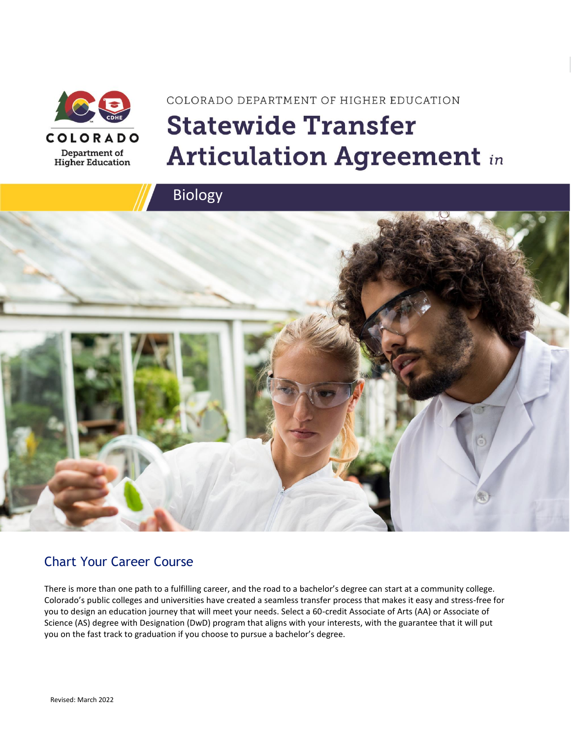

# COLORADO DEPARTMENT OF HIGHER EDUCATION **Statewide Transfer Articulation Agreement in**



### Chart Your Career Course

There is more than one path to a fulfilling career, and the road to a bachelor's degree can start at a community college. Colorado's public colleges and universities have created a seamless transfer process that makes it easy and stress-free for you to design an education journey that will meet your needs. Select a 60-credit Associate of Arts (AA) or Associate of Science (AS) degree with Designation (DwD) program that aligns with your interests, with the guarantee that it will put you on the fast track to graduation if you choose to pursue a bachelor's degree.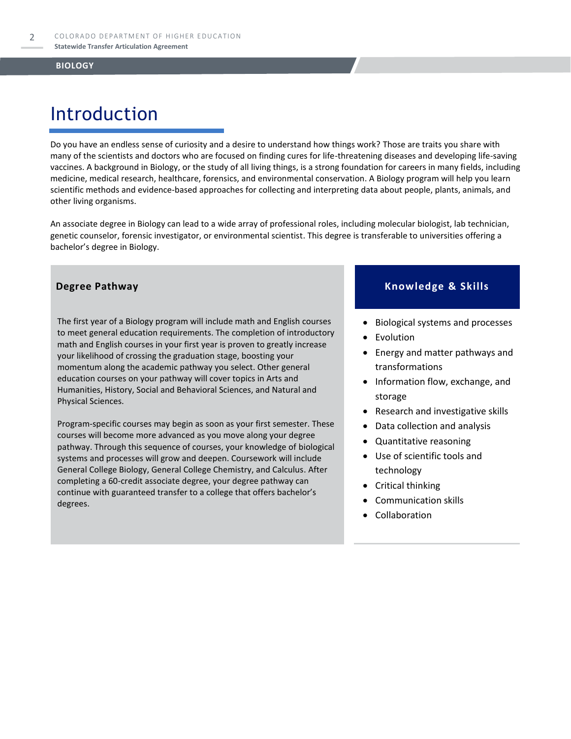# Introduction

Do you have an endless sense of curiosity and a desire to understand how things work? Those are traits you share with many of the scientists and doctors who are focused on finding cures for life-threatening diseases and developing life-saving vaccines. A background in Biology, or the study of all living things, is a strong foundation for careers in many fields, including medicine, medical research, healthcare, forensics, and environmental conservation. A Biology program will help you learn scientific methods and evidence-based approaches for collecting and interpreting data about people, plants, animals, and other living organisms.

An associate degree in Biology can lead to a wide array of professional roles, including molecular biologist, lab technician, genetic counselor, forensic investigator, or environmental scientist. This degree is transferable to universities offering a bachelor's degree in Biology.

The first year of a Biology program will include math and English courses to meet general education requirements. The completion of introductory math and English courses in your first year is proven to greatly increase your likelihood of crossing the graduation stage, boosting your momentum along the academic pathway you select. Other general education courses on your pathway will cover topics in Arts and Humanities, History, Social and Behavioral Sciences, and Natural and Physical Sciences.

Program-specific courses may begin as soon as your first semester. These courses will become more advanced as you move along your degree pathway. Through this sequence of courses, your knowledge of biological systems and processes will grow and deepen. Coursework will include General College Biology, General College Chemistry, and Calculus. After completing a 60-credit associate degree, your degree pathway can continue with guaranteed transfer to a college that offers bachelor's degrees.

### **Degree Pathway**  Knowledge & Skills

- Biological systems and processes
- **Evolution**
- Energy and matter pathways and transformations
- Information flow, exchange, and storage
- Research and investigative skills
- Data collection and analysis
- Quantitative reasoning
- Use of scientific tools and technology
- Critical thinking
- Communication skills
- Collaboration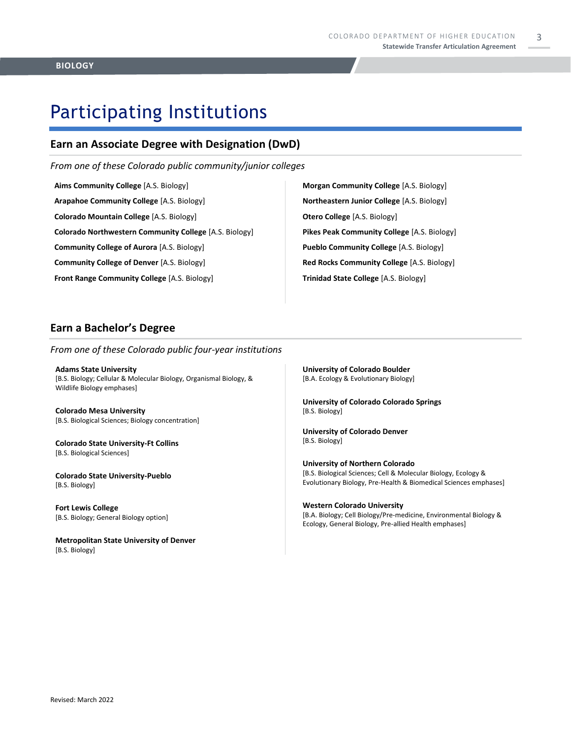3

### Participating Institutions

### **Earn an Associate Degree with Designation (DwD)**

*From one of these Colorado public community/junior colleges*

**Aims Community College** [A.S. Biology] **Arapahoe Community College** [A.S. Biology] **Colorado Mountain College** [A.S. Biology] **Colorado Northwestern Community College** [A.S. Biology] **Community College of Aurora** [A.S. Biology] **Community College of Denver** [A.S. Biology] **Front Range Community College** [A.S. Biology]

**Morgan Community College** [A.S. Biology] **Northeastern Junior College** [A.S. Biology] **Otero College** [A.S. Biology] **Pikes Peak Community College** [A.S. Biology] **Pueblo Community College** [A.S. Biology] **Red Rocks Community College** [A.S. Biology] **Trinidad State College** [A.S. Biology]

### **Earn a Bachelor's Degree**

*From one of these Colorado public four-year institutions*

**Adams State University**  [B.S. Biology; Cellular & Molecular Biology, Organismal Biology, & Wildlife Biology emphases]

**Colorado Mesa University**  [B.S. Biological Sciences; Biology concentration]

**Colorado State University-Ft Collins**  [B.S. Biological Sciences]

**Colorado State University-Pueblo**  [B.S. Biology]

**Fort Lewis College**  [B.S. Biology; General Biology option]

**Metropolitan State University of Denver**  [B.S. Biology]

**University of Colorado Boulder**  [B.A. Ecology & Evolutionary Biology]

**University of Colorado Colorado Springs** [B.S. Biology]

**University of Colorado Denver** [B.S. Biology]

**University of Northern Colorado** [B.S. Biological Sciences; Cell & Molecular Biology, Ecology & Evolutionary Biology, Pre-Health & Biomedical Sciences emphases]

**Western Colorado University** [B.A. Biology; Cell Biology/Pre-medicine, Environmental Biology & Ecology, General Biology, Pre-allied Health emphases]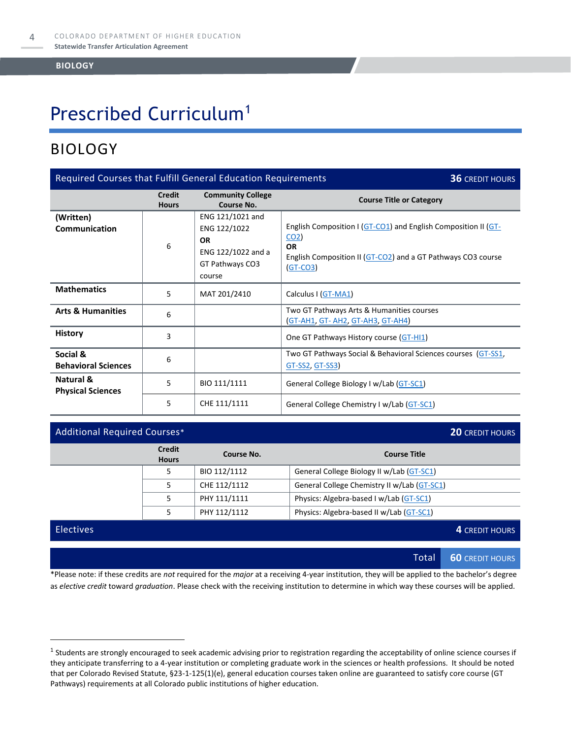## Prescribed Curriculum<sup>1</sup>

### BIOLOGY

| Required Courses that Fulfill General Education Requirements<br><b>36 CREDIT HOURS</b> |                                                                 |                                                                                                  |                                                                                                                                                                              |  |
|----------------------------------------------------------------------------------------|-----------------------------------------------------------------|--------------------------------------------------------------------------------------------------|------------------------------------------------------------------------------------------------------------------------------------------------------------------------------|--|
|                                                                                        | <b>Credit</b><br><b>Hours</b>                                   | <b>Community College</b><br>Course No.                                                           | <b>Course Title or Category</b>                                                                                                                                              |  |
| (Written)<br><b>Communication</b>                                                      | 6                                                               | ENG 121/1021 and<br>ENG 122/1022<br><b>OR</b><br>ENG 122/1022 and a<br>GT Pathways CO3<br>course | English Composition I (GT-CO1) and English Composition II (GT-<br>CO <sub>2</sub><br><b>OR</b><br>English Composition II (GT-CO2) and a GT Pathways CO3 course<br>$(GT-CO3)$ |  |
| <b>Mathematics</b>                                                                     | 5                                                               | MAT 201/2410                                                                                     | Calculus I (GT-MA1)                                                                                                                                                          |  |
| <b>Arts &amp; Humanities</b>                                                           | 6                                                               |                                                                                                  | Two GT Pathways Arts & Humanities courses<br><b>(GT-AH1, GT- AH2, GT-AH3, GT-AH4)</b>                                                                                        |  |
| <b>History</b>                                                                         | 3                                                               |                                                                                                  | One GT Pathways History course (GT-HI1)                                                                                                                                      |  |
| Social &<br><b>Behavioral Sciences</b>                                                 | 6                                                               |                                                                                                  | Two GT Pathways Social & Behavioral Sciences courses (GT-SS1,<br>GT-SS2, GT-SS3)                                                                                             |  |
| Natural &<br><b>Physical Sciences</b>                                                  | 5                                                               | BIO 111/1111                                                                                     | General College Biology I w/Lab (GT-SC1)                                                                                                                                     |  |
|                                                                                        | 5<br>CHE 111/1111<br>General College Chemistry I w/Lab (GT-SC1) |                                                                                                  |                                                                                                                                                                              |  |

### Additional Required Courses\* **20** CREDIT HOURS **Credit Hours Course No. Course Title** 5 BIO 112/1112 General College Biology II w/Lab [\(GT-SC1\)](https://highered.colorado.gov/Academics/Transfers/gtPathways/Curriculum/Courses.aspx?cat=GT-SC1&cat=GT-SC1) 5 CHE 112/1112 General College Chemistry II w/Lab [\(GT-SC1\)](https://highered.colorado.gov/Academics/Transfers/gtPathways/Curriculum/Courses.aspx?cat=GT-SC1&cat=GT-SC1) 5 | PHY 111/1111 | Physics: Algebra-based I w/Lab  $(GT-SC1)$ 5 | PHY 112/1112 | Physics: Algebra-based II w/Lab [\(GT-SC1\)](https://highered.colorado.gov/Academics/Transfers/gtPathways/Curriculum/Courses.aspx?cat=GT-SC1&cat=GT-SC1) Electives **4** CREDIT HOURS

Total **60** CREDIT HOURS

\*Please note: if these credits are *not* required for the *major* at a receiving 4-year institution, they will be applied to the bachelor's degree as *elective credit* toward *graduation*. Please check with the receiving institution to determine in which way these courses will be applied.

 $^1$  Students are strongly encouraged to seek academic advising prior to registration regarding the acceptability of online science courses if they anticipate transferring to a 4-year institution or completing graduate work in the sciences or health professions. It should be noted that per Colorado Revised Statute, §23-1-125(1)(e), general education courses taken online are guaranteed to satisfy core course (GT Pathways) requirements at all Colorado public institutions of higher education.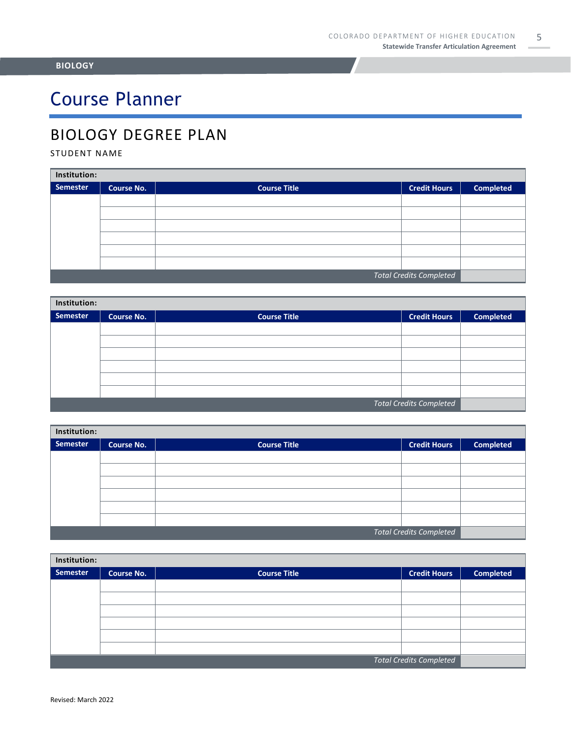# Course Planner

### BIOLOGY DEGREE PLAN

### STUDENT NAME

| Institution:                   |                   |                     |                     |                  |  |
|--------------------------------|-------------------|---------------------|---------------------|------------------|--|
| <b>Semester</b>                | <b>Course No.</b> | <b>Course Title</b> | <b>Credit Hours</b> | <b>Completed</b> |  |
|                                |                   |                     |                     |                  |  |
|                                |                   |                     |                     |                  |  |
|                                |                   |                     |                     |                  |  |
|                                |                   |                     |                     |                  |  |
|                                |                   |                     |                     |                  |  |
|                                |                   |                     |                     |                  |  |
| <b>Total Credits Completed</b> |                   |                     |                     |                  |  |

| Institution:                   |                   |                     |                     |                  |  |
|--------------------------------|-------------------|---------------------|---------------------|------------------|--|
| <b>Semester</b>                | <b>Course No.</b> | <b>Course Title</b> | <b>Credit Hours</b> | <b>Completed</b> |  |
|                                |                   |                     |                     |                  |  |
|                                |                   |                     |                     |                  |  |
|                                |                   |                     |                     |                  |  |
|                                |                   |                     |                     |                  |  |
|                                |                   |                     |                     |                  |  |
|                                |                   |                     |                     |                  |  |
| <b>Total Credits Completed</b> |                   |                     |                     |                  |  |

| Institution:                   |                   |                     |                     |                  |  |
|--------------------------------|-------------------|---------------------|---------------------|------------------|--|
| <b>Semester</b>                | <b>Course No.</b> | <b>Course Title</b> | <b>Credit Hours</b> | <b>Completed</b> |  |
|                                |                   |                     |                     |                  |  |
|                                |                   |                     |                     |                  |  |
|                                |                   |                     |                     |                  |  |
|                                |                   |                     |                     |                  |  |
|                                |                   |                     |                     |                  |  |
|                                |                   |                     |                     |                  |  |
| <b>Total Credits Completed</b> |                   |                     |                     |                  |  |

| Institution:                   |                   |                     |                     |                  |  |
|--------------------------------|-------------------|---------------------|---------------------|------------------|--|
| Semester                       | <b>Course No.</b> | <b>Course Title</b> | <b>Credit Hours</b> | <b>Completed</b> |  |
|                                |                   |                     |                     |                  |  |
|                                |                   |                     |                     |                  |  |
|                                |                   |                     |                     |                  |  |
|                                |                   |                     |                     |                  |  |
|                                |                   |                     |                     |                  |  |
|                                |                   |                     |                     |                  |  |
| <b>Total Credits Completed</b> |                   |                     |                     |                  |  |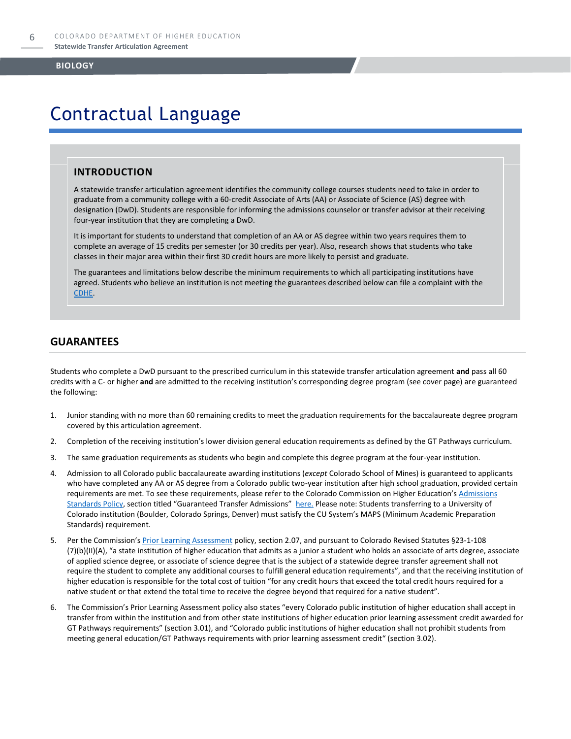### Contractual Language

### **INTRODUCTION**

A statewide transfer articulation agreement identifies the community college courses students need to take in order to graduate from a community college with a 60-credit Associate of Arts (AA) or Associate of Science (AS) degree with designation (DwD). Students are responsible for informing the admissions counselor or transfer advisor at their receiving four-year institution that they are completing a DwD.

It is important for students to understand that completion of an AA or AS degree within two years requires them to complete an average of 15 credits per semester (or 30 credits per year). Also, research shows that students who take classes in their major area within their first 30 credit hours are more likely to persist and graduate.

The guarantees and limitations below describe the minimum requirements to which all participating institutions have agreed. Students who believe an institution is not meeting the guarantees described below can file a complaint with the [CDHE.](https://highered.colorado.gov/filing-student-complaint)

### **GUARANTEES**

Students who complete a DwD pursuant to the prescribed curriculum in this statewide transfer articulation agreement **and** pass all 60 credits with a C- or higher **and** are admitted to the receiving institution's corresponding degree program (see cover page) are guaranteed the following:

- 1. Junior standing with no more than 60 remaining credits to meet the graduation requirements for the baccalaureate degree program covered by this articulation agreement.
- 2. Completion of the receiving institution's lower division general education requirements as defined by the GT Pathways curriculum.
- 3. The same graduation requirements as students who begin and complete this degree program at the four-year institution.
- 4. Admission to all Colorado public baccalaureate awarding institutions (*except* Colorado School of Mines) is guaranteed to applicants who have completed any AA or AS degree from a Colorado public two-year institution after high school graduation, provided certain requirements are met. To see these requirements, please refer to the Colorado Commission on Higher Education's Admissions [Standards Policy](https://highered.colorado.gov/sites/highered/files/2020-03/i-partf_0.pdf), section titled "Guaranteed Transfer Admissions" [here.](https://highered.colorado.gov/educators/policy-funding/cche-policies-procedures) Please note: Students transferring to a University of Colorado institution (Boulder, Colorado Springs, Denver) must satisfy the CU System's MAPS (Minimum Academic Preparation Standards) requirement.
- 5. Per the Commission's **[Prior Learning Assessment](https://highered.colorado.gov/Publications/Policies/Current/i-partx.pdf)** policy, section 2.07, and pursuant to Colorado Revised Statutes §23-1-108 (7)(b)(II)(A), "a state institution of higher education that admits as a junior a student who holds an associate of arts degree, associate of applied science degree, or associate of science degree that is the subject of a statewide degree transfer agreement shall not require the student to complete any additional courses to fulfill general education requirements", and that the receiving institution of higher education is responsible for the total cost of tuition "for any credit hours that exceed the total credit hours required for a native student or that extend the total time to receive the degree beyond that required for a native student".
- 6. The Commission's Prior Learning Assessment policy also states "every Colorado public institution of higher education shall accept in transfer from within the institution and from other state institutions of higher education prior learning assessment credit awarded for GT Pathways requirements" (section 3.01), and "Colorado public institutions of higher education shall not prohibit students from meeting general education/GT Pathways requirements with prior learning assessment credit" (section 3.02).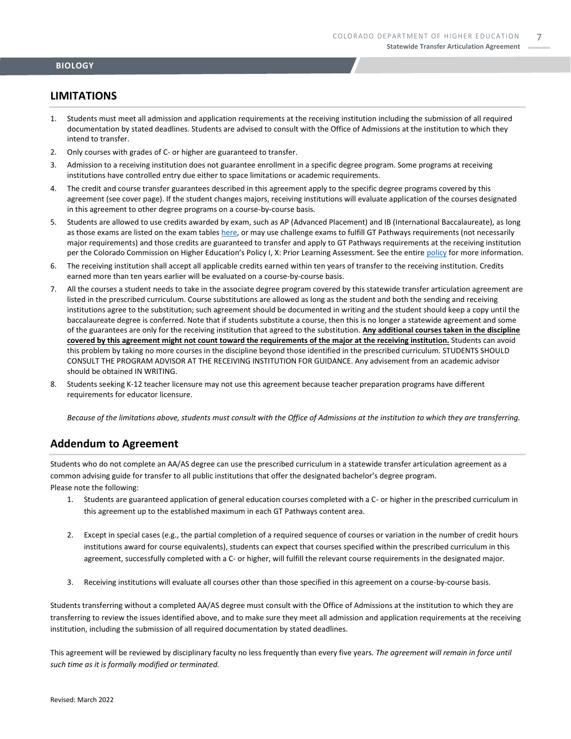### **LIMITATIONS**

- 1. Students must meet all admission and application requirements at the receiving institution including the submission of all required documentation by stated deadlines. Students are advised to consult with the Office of Admissions at the institution to which they intend to transfer.
- 2. Only courses with grades of C- or higher are guaranteed to transfer.
- 3. Admission to a receiving institution does not guarantee enrollment in a specific degree program. Some programs at receiving institutions have controlled entry due either to space limitations or academic requirements.
- 4. The credit and course transfer guarantees described in this agreement apply to the specific degree programs covered by this agreement (see cover page). If the student changes majors, receiving institutions will evaluate application of the courses designated in this agreement to other degree programs on a course-by-course basis.
- 5. Students are allowed to use credits awarded by exam, such as AP (Advanced Placement) and IB (International Baccalaureate), as long as those exams are listed on the exam table[s here,](https://highered.colorado.gov/get-credit-for-what-you-already-know) or may use challenge exams to fulfill GT Pathways requirements (not necessarily major requirements) and those credits are guaranteed to transfer and apply to GT Pathways requirements at the receiving institution per the Colorado Commission on Higher Education's Policy I, X: Prior Learning Assessment. See the entire [policy](https://highered.colorado.gov/Publications/Policies/Current/i-partx.pdf) for more information.
- 6. The receiving institution shall accept all applicable credits earned within ten years of transfer to the receiving institution. Credits earned more than ten years earlier will be evaluated on a course-by-course basis.
- 7. All the courses a student needs to take in the associate degree program covered by this statewide transfer articulation agreement are listed in the prescribed curriculum. Course substitutions are allowed as long as the student and both the sending and receiving institutions agree to the substitution; such agreement should be documented in writing and the student should keep a copy until the baccalaureate degree is conferred. Note that if students substitute a course, then this is no longer a statewide agreement and some of the guarantees are only for the receiving institution that agreed to the substitution. **Any additional courses taken in the discipline covered by this agreement might not count toward the requirements of the major at the receiving institution.** Students can avoid this problem by taking no more courses in the discipline beyond those identified in the prescribed curriculum. STUDENTS SHOULD CONSULT THE PROGRAM ADVISOR AT THE RECEIVING INSTITUTION FOR GUIDANCE. Any advisement from an academic advisor should be obtained IN WRITING.
- 8. Students seeking K-12 teacher licensure may not use this agreement because teacher preparation programs have different requirements for educator licensure.

*Because of the limitations above, students must consult with the Office of Admissions at the institution to which they are transferring.*

### **Addendum to Agreement**

Students who do not complete an AA/AS degree can use the prescribed curriculum in a statewide transfer articulation agreement as a common advising guide for transfer to all public institutions that offer the designated bachelor's degree program. Please note the following:

- 1. Students are guaranteed application of general education courses completed with a C- or higher in the prescribed curriculum in this agreement up to the established maximum in each GT Pathways content area.
- 2. Except in special cases (e.g., the partial completion of a required sequence of courses or variation in the number of credit hours institutions award for course equivalents), students can expect that courses specified within the prescribed curriculum in this agreement, successfully completed with a C- or higher, will fulfill the relevant course requirements in the designated major.
- 3. Receiving institutions will evaluate all courses other than those specified in this agreement on a course-by-course basis.

Students transferring without a completed AA/AS degree must consult with the Office of Admissions at the institution to which they are transferring to review the issues identified above, and to make sure they meet all admission and application requirements at the receiving institution, including the submission of all required documentation by stated deadlines.

This agreement will be reviewed by disciplinary faculty no less frequently than every five years. *The agreement will remain in force until such time as it is formally modified or terminated.*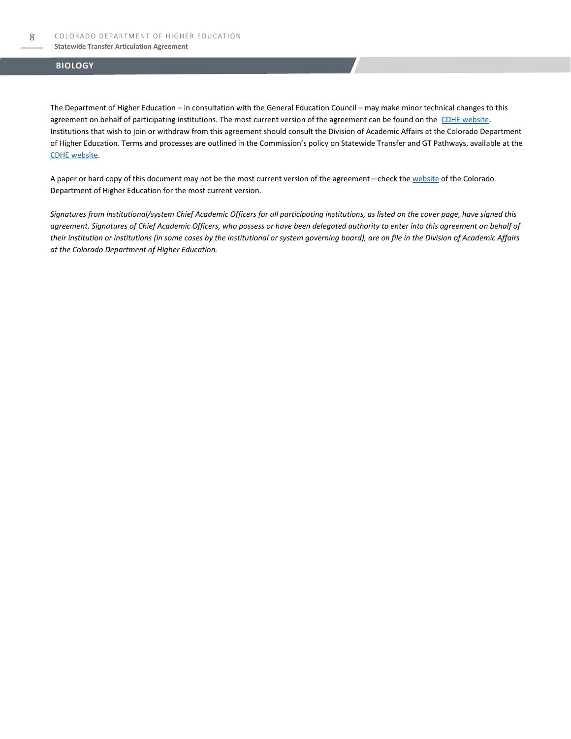The Department of Higher Education – in consultation with the General Education Council – may make minor technical changes to this agreement on behalf of participating institutions. The most current version of the agreement can be found on the [CDHE website.](https://highered.colorado.gov/transfer-degrees) Institutions that wish to join or withdraw from this agreement should consult the Division of Academic Affairs at the Colorado Department of Higher Education. Terms and processes are outlined in the Commission's policy on Statewide Transfer and GT Pathways, available at the [CDHE website.](https://highered.colorado.gov/educators/policy-funding/general-education-ge-council/gtpathways/transfer-agreements)

A paper or hard copy of this document may not be the most current version of the agreement—check th[e website](https://highered.colorado.gov/transfer-degrees) of the Colorado Department of Higher Education for the most current version.

*Signatures from institutional/system Chief Academic Officers for all participating institutions, as listed on the cover page, have signed this agreement. Signatures of Chief Academic Officers, who possess or have been delegated authority to enter into this agreement on behalf of their institution or institutions (in some cases by the institutional or system governing board), are on file in the Division of Academic Affairs at the Colorado Department of Higher Education.*